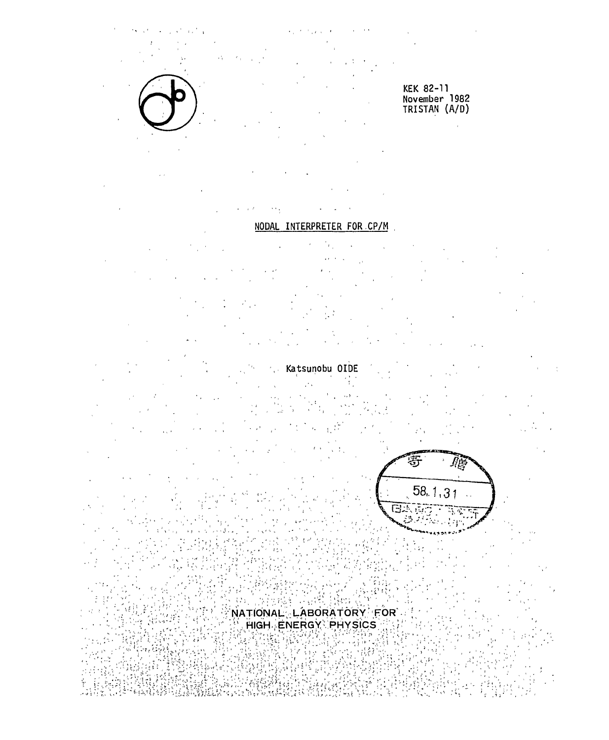十, ,

 $\epsilon_{\rm z}$ 

',ー '

**.Ui- =••-,-• ^K ;**   $\zeta$  is the constant of the state of the state of  $\zeta$  is the state of  $\zeta$  in the state of  $\zeta$  ,  $\zeta$  is the state of the state of the state of the state of the state of the state of the state of the state of the s  $\begin{array}{l} \color{red}\vdots \color{black} \vdots \color{black} \vdots \color{black} \vdots \color{black} \vdots \color{black} \vdots \color{black} \vdots \color{black} \vdots \color{black} \vdots \color{black} \vdots \color{black} \vdots \color{black} \vdots \color{black} \vdots \color{black} \vdots \color{black} \vdots \color{black} \vdots \color{black} \vdots \color{black} \vdots \color{black} \vdots \color{black} \vdots \color{black} \vdots \color{black} \vdots \color{black} \vdots \color{black} \vdots \color{black} \vdots \color{black} \vdots \color{black} \$ .:; ~ ~~ i ;r:;,~'~ JI:' I~j;~L~,, :X; :i¥ iÎ~::f~~i~%~ ,~:~;\ ?h¥ ~~.~!:,;' ~~i~ ,';~~>:川

 $\kappa \ll \frac{1}{2}$ 

# **NODAL INTERPRETER FOR CP/M**

<sup>F</sup> も、!

**Katsunobu OIDE**  $\frac{1}{2}$   $\frac{1}{2}$   $\frac{1}{2}$   $\frac{1}{2}$   $\frac{1}{2}$   $\frac{1}{2}$   $\frac{1}{2}$   $\frac{1}{2}$   $\frac{1}{2}$   $\frac{1}{2}$   $\frac{1}{2}$   $\frac{1}{2}$   $\frac{1}{2}$   $\frac{1}{2}$   $\frac{1}{2}$   $\frac{1}{2}$   $\frac{1}{2}$   $\frac{1}{2}$   $\frac{1}{2}$   $\frac{1}{2}$   $\frac{1}{2}$   $\frac{1}{2}$   $\$ 

 $\mathcal{U}$  .  $\mathcal{U}$  $\mathbf{f} = \left( \begin{array}{cc} 1 & 0 \\ 0 & 1 \end{array} \right)$ 一  $\mathcal{L}_{\mathcal{A}}$  is a set of  $\mathcal{L}_{\mathcal{A}}$  $\mathbf{v}_-$  ,  $\mathbf{v}_-$  , 44 "' "、、、" 4  $\mathbb{Z}^{\mathbb{Z}^2}$ 



. , も.'

4

 $\mathbb{F}$ NATIONAL $\mathbb{C}$ :LABORATORY  $\mathbb{F}$ FOR $\mathbb{F}$  . ;"•"•: >:'"";•;, -. ;•, ;'\HIGH-ENERG Y iPHYSIC S ; ./' 、ぺJJfi::J J;JJL!;:71jTNATlQNAL;l;LRBORAIUHIlo;tUN r ' ;;;ij::ι;;;JjillfJJ;;jiH!?HjlENFWimwcjsijLJj;;11;:fj;:7

**KEK 82-11 November 1982 TRISTAN (A/D)**  KEK 82-11 November 1982 TRISTAN (A/D)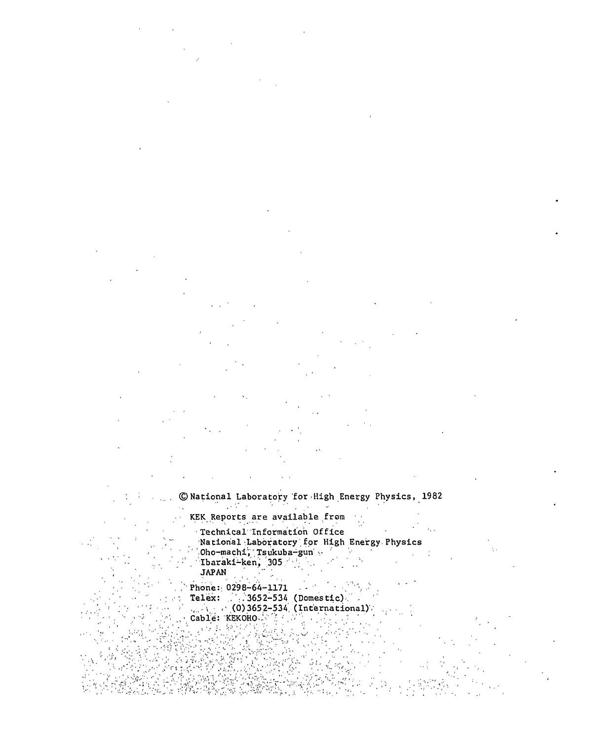© National Laboratory for High Energy Physics, 1982

KEK Reports are available from  $\frac{1}{2}$  ,  $\frac{1}{2}$ Technical Information Office  $\sim 10$ 

, Wational Laboratory for High Energy Physics  $\mathsf{Qho}\text{-} \mathsf{machi}$ ,  $\mathsf{Tsukuba}\text{-}\mathsf{gun}$   $\mathsf{S}$ . Ibaraki-ken, 305  $\mathbb{S}_2$  . •  $\mathbb{S}_2$  . JAPAN **JAPAN** J Dho-machi, Tsukuba-gun'.  $\mathbb{Z}$  'Lbaraki-ken, 305

. $P$  Phone:  $($  0298-64-1171 .  $\ldots$  if  $\ldots$  if  $\ldots$  if  $\ldots$  .  $\alpha$  Telex: ,  $\alpha$ , 3652-534 (Domestic)  $\alpha$  $\ell_{\rm max}$  (1,  $\ell_{\rm max}$  (0) 3652-534. (International) ( , Phone:  $0298-64-1171$ Telex:  $4.3652-534$  (Domestic).  $\ldots$   $\sim$  (0)3652-534 (International).

"• Cable': 'KEKOHO..:-''!' \* ,.'<"'. • ,'.-'". ' . " " ' ' , ' '  $\gamma^*$   $\gamma^*$   $\gamma^*$   $\gamma^*$   $\gamma^*$   $\gamma^*$   $\gamma^*$   $\gamma^*$   $\gamma^*$   $\gamma^*$   $\gamma^*$   $\gamma^*$   $\gamma^*$   $\gamma^*$   $\gamma^*$   $\gamma^*$   $\gamma^*$ 

。<br><sub>この大</sub>・トレ.

 $\sim$   $\sim$   $\sim$   $\sim$   $\sim$  $\frac{1}{2}$ ,  $\frac{1}{2}$  ,  $\frac{1}{2}$  ,  $\frac{1}{2}$  ,  $\frac{1}{2}$  ,  $\frac{1}{2}$  ,  $\frac{1}{2}$  ,  $\frac{1}{2}$  ,  $\frac{1}{2}$  ,  $\frac{1}{2}$  ,  $\frac{1}{2}$  ,  $\frac{1}{2}$  ,  $\frac{1}{2}$  ,  $\frac{1}{2}$  ,  $\frac{1}{2}$  ,  $\frac{1}{2}$  ,  $\frac{1}{2}$  ,  $\frac{1}{2}$  ,  $\frac{1}{$  $\mathcal{I}^{\text{I}}_{\text{I}}$  ,  $\mathcal{I}^{\text{I}}_{\text{II}}$  ,  $\mathcal{I}^{\text{I}}_{\text{II}}$  ,  $\mathcal{I}^{\text{I}}_{\text{II}}$  ,  $\mathcal{I}^{\text{I}}_{\text{II}}$  ,  $\mathcal{I}^{\text{I}}_{\text{II}}$  ,  $\mathcal{I}^{\text{I}}_{\text{II}}$  ,  $\mathcal{I}^{\text{I}}_{\text{II}}$  ,  $\mathcal{I}^{\text{I}}_{\text{II}}$  ,  $\mathcal{I}^{\text{I}}_{$ q  $\mathbb{R}^N$  ,  $2.2\%$  ,

,

 $\lambda_{\rm max}$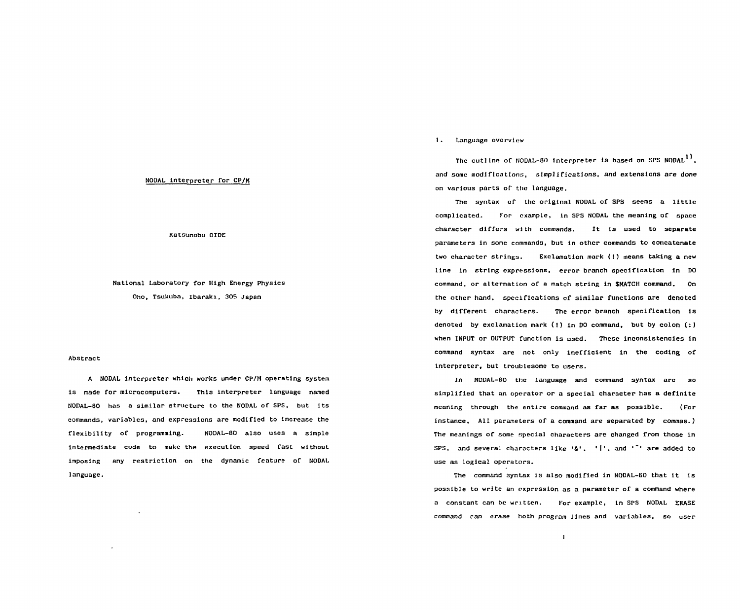### NODAL interpreter for CP/M

**Katsunobu OIDE**  KatsUnobu OIDE

# **National Laboratory for High Energy Physics**  Natlonal Laboratory for High Energy Physics **Oho, Tsukuba, Ibaraki, 305 Japan**  Oho. Tsukuba, Ibarak1, 305 Japan

### **Abstract**  Abstract

**A NODAL interpreter which works under CP/M operating system**  A NOOAL lnterpreter whlch works under CP/M operating system **is made for microcomputers. This interpreter language named**  is made for mlcrocomputers. This lnterpreter languae named **NODAL-80 has a similar structure to the NODAL of SPS, but its**  NODAL-80 has a similar structure to the NODAL of SPS. but its **commands, variables, and expressions are modified to increase the**  commands, variables. and expresslons are modifled to increase the **flexibility of programming. NODAL-80 also uses a simple**  flexibl1ity of programming. NODAL-BO also uses a simp1e **intermediate code to make the execution speed fast without**  intermediate code to make the executlon speed fast without **imposing any restriction on the dynamic feature of NODAL**  imposing any restrlct10n on the dynamic feature of NODAL **language.**  language.

### **1.** Language overview

The outline of NODAL-80 interpreter is based on SPS NODAL<sup>1)</sup>, **and some modifications, simplifications, and extensions are done**  and some mod1flcatio s simplif1catJons. and extensJons are done **on various parts of the language.**  on varlous parts of thc language.

**The syntax of the original NODAL of SPS seems a little**  The syntax of the orlginal NODAL of SPS seems a 11ttle **complicated. For example, in SPS NODAL the meaning of space**  complicated. for cxample. 1n SPS NODAL the meaning of space **character differs with commands. It is used to separate**  character dlffers with commands. It Is used to separate **parameters in some commands, but in other commands to concatenate**  parameters ln some commands. but ln other commands to concatenate two character strings. Exclamation mark (!) means taking a new line in string expressions, error branch specification in **DO command, or alternation of a match string in SHATCH command. On**  command, or alternation of a match strlng ln SMATCH command. On **the other hand, specifications of similar functions are denoted**  the other hand, speclflcatlons of siml1ar functlons are denoted by different characters. The error branch specification is **denoted by exclamation mark (!) in DO command, but by colon (:)**  denoted by exclamatlon mark (!) ln 00 command. but by colon (:) **when INPUT or OUTPUT function is used. These inconsistencies in**  when INPUT or OUTPUT functlon Is used. These 1ncons1stencies ln **command syntax are not only inefficient in the coding of**  command syntax are not only 1neff1c1ent 1n the codlng of **interpreter, but troublesome to users.**  interpreter, but troublesome to users.

**In NODAL-BO the language and command syntax are so**  ln NODAL-80 the language and command syntax are so simplified that an operator or a special character has a definite **meaning through the entire command as far as possible. (For**  meaning through the entire command as far as possible. (For instance, All parameters of a command are separated by commas.) **The meanings of some special characters are changed from those in**  The meanlngs of some specia1 characters are changed from those ln SPS, and several characters like '<mark>&', '|', and '`'</mark> are added to **use as logical operators.**  use as loglcal opcrators.

**The command syntax is also modified in NODAL-SO that it is**  The command syntax is a1so modlfled 1n NODAL-60 that lt 1s possible to write an expression as a parameter of a command where **a constant can be written. For example, in SPS NODAL ERASE**  a constant can be wrltten. For examplc. 1n SPS NODAL ERASE **command ran erase both program lines and variables, so user**  <sup>C</sup> nmand ~an erase both program lines and variables. so user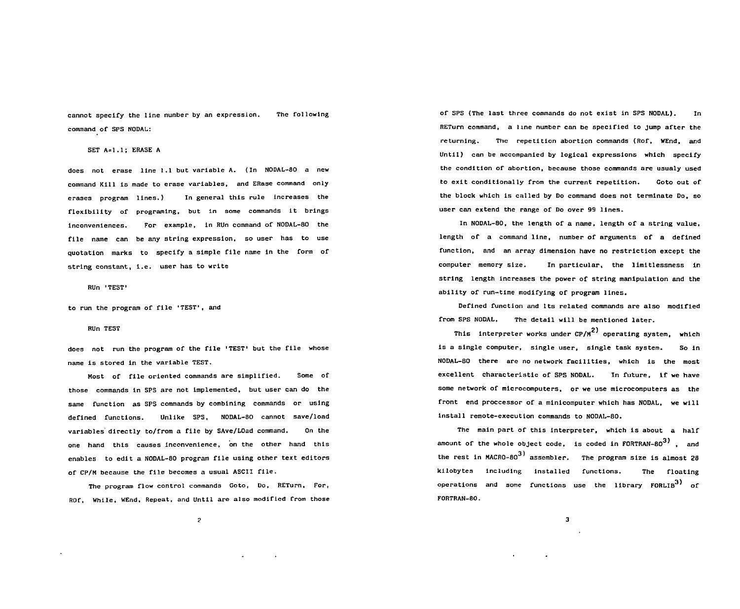cannot specify the line number by an expression. The following command of SPS NODAL:

**SET A=l.l; ERASE A**  SET A=1.1; ERASE A

**does not erase line 1.1 but variable A. (In NODAL-80 a new**  does not crase line 1.1 but varlable A. (In NODAL-80 a ncw **command Kill is made to erase variables, and ERase command only**  command Kill is made to erase variables, and ERase command only **erases program lines.) In general this rule increases the**  crascs program 11ncs.) 1n general this rule increases the **flexibility of programing, but in some commands it brings**  flexibl1ity of program1ng, but 1n some commands 1t brings **inconveniences. For example, in RUn command of NODAL-BO the**  1nconveniences. For example, 1n RUn command of NOOAL-BO the **file name can be any string expression, so user has to use**  f11e name can be any str1ng express10n, so user has to use **quotation marks to specify a simple file name in the form of**  Quotat10n marks to spec1fy a s1mple f11e name 1n the form of string constant, i.e. user has to write

**RUn 'TEST'**  RUn TEST'

to run the program of file 'TEST', and

# **RUn TEST**  RUn TEST

**does not run the program of the file 'TEST' but the file whose**  does not run the program of the file TEST but the file whose **name is stored in the variable TEST.**  name is stored 1n the variable TE5T.

**Most of file oriented commands are simplified. Some of**  Most of file or1ented commands are s1mplif1ed. 50me of those commands in SPS are not implemented, but user can do the **same function as SPS commands by combining commands or using**  same function as 5P5 commands by comb1n1ng commands or using defined functions. Unlike SPS, NODAL-80 cannot save/load **variables directly to/from a file by SAve/LOad command. On the**  variables d1rectly to/from a f11e by SAve/LOad command. On the **one hand this causes inconvenience, on the other hand this**  one hand th1s causes 1nconven1ence, on the other hand th1s **enables to edit a NODAL-80 program file using other text editors**  enables to edlt a NODAL-BO program C11e us1ng other text edltors of CP/M because the file becomes a usual ASCII file.

**The program flow control commands Goto, Do, RETurn, For,**  The program Clow control commands Coto, 00, RETurn, For, ROf, While, WEnd, Repeat, and Until are also modified from those

of SPS (The last three commands do not exist in SPS NODAL). In RETurn command, a line number can be specified to jump after the **returning. The repetition abortion commands (Rof, WEnd, and**  returning. Thc repetlt10n abortlon commands (Rof, WEnd, and **Until) can be accompanied by logical expressions which specify**  Untl1) can be accompanled by loglcal expresslons whlch speclfy the condition of abortion, because those commands are usualy used **to exit conditionally from the current repetition. Coto out of**  to exlt cond1tlonally from the current repetition. Coto out of **the block which is called by Do command does not terminate Do, so**  the block whlch 1s cal1ed by Do command does not terminate 00, so **user can extend the range of Do over 99 lines.**  user can extend the range of Do over 99 lines.

**In NODAL-80, the length of a name, length of a string value,**  1n NODAL-BO, the length of a name, length of a str1ng value, **length of a command line, number of arguments of a defined**  length of a command l1ne, number of arguments of a defined function, and an array dimension have no restriction except the **computer memory size. In particular, the limitlessness in**  computer memory s1ze. 1n part1cular, the 11m1tlessness 1n string length increases the power of string manipulation and the **ability of run-time modifying of program lines.**  ab1l1 ty of run t1memod1fylng of program l1nes.

**Defined function and its related commands are also modified**  Oefined function and its related commands are also modlfled **from SPS NODAL. The detail will be mentioned later.**  from 5P5 NOOAL. The detail will be ment10ned later.

This interpreter works under CP/M<sup>2)</sup> operating system, which **This interpreter works under CP/M operating system, which**  1S a s1ngle computer, slngle user, slngle task system. 50 1n **is a single computer, single user, single task system. So in**  NODAL-BO there arc no network facil1t1es, which is the most excellent characteristic of SPS NODAL. In future, if we have some network of microcomputers, or we use microcomputers as the front end proccessor of a minicomputer which has NODAL, we will install remote-execution commands to NODAL-80.

The main part of this interpreter, which is about a half amount of the whole object code, is coded in FORTRAN-80<sup>3)</sup>, and **axon to whole object conduct** contains  $\mathbf{m}$  and  $\mathbf{m}$  is considered in  $\mathbf{m}$ , and  $\mathbf{m}$ the rest in MACRO-80<sup>3)</sup> assembler. The program size is almost 28 **the rest in MACRO-80 assembler. The program size is almost 28**  kilobytes including lnstal1ed Cunct10ns. The floating operations and some functions use the library FORLIB<sup>3)</sup> of **operations and some functions use the library FORLIB of**  FORTRAN-80.

**2**  2

**3**  3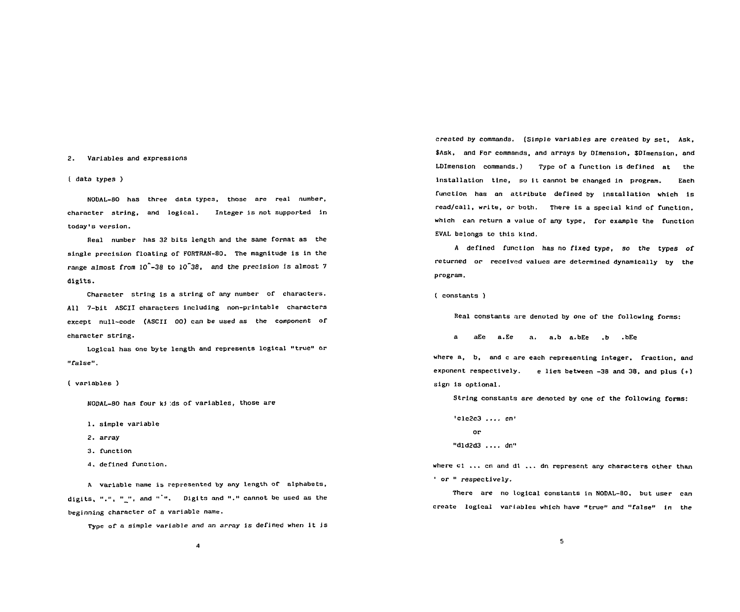### 2. Variables and expressions 2. Var1ab1es and expresslons

### ( data types ) ( data types )

NODAL-80 has three data types, those are real number, NOOAL-80 has three data types, those are real number, character string, and logical. Integer is not supported in character string, and log1ca1. Integer 1s not supported in today's version.

Heal number has 32 bits length and the same format as the Real number has 32 b1ts length and the same format as the single precision floating of FORTRAN-80. The magnitude is in the range almost from  $10^{\circ}$ -38 to  $10^{\circ}$ 38, and the precision is almost 7 digits. digits.

Character string is a string of any number of characters. All 7-bit ASCII characters including non-printable characters All 7-bit ASCII characters includlng non-printable characters except null-code (ASCII 00) can be used as the component of except null-code (ASCII 00) can be used as the component of character string. character string.

Logical has one byte length and represents logical "true" or Loglca1 has one byte 1ength and represents 10gical "true" or "false".

### ( variables ) ( varlables )

NODAL-80 has four ki :ds of variables, those are NODAL-80 has four kj :ds of variables, those are

- 1. simple variable 1. simple variab1e
- 2. array 2. array
- 3. function 3. functlon
- 4. defined function. 4. defined funct1on.

A variable name is represented by any length of alphabets, h varlable name 15 repre5ented by any length or alphabets, digits, ".", "\_", and "`". Digits and "." cannot be used as the beginning character of a variable name. beginning character of a variable namc.

Type of a simple variable and an array is defined when it is Type oC a simple varlable and an array 1s defined when 1t js

created by commands. (Simple variables are created by set. Ask, created by commands. (Simple varlabJcs are crcated by set, Ask. \$Ask, and For commands, and arrays by DImension, \$DImension, and LDImension commands.) Type of a function is defined at the installation time, so it cannot be changed in program. Each function has an attribute defined by installation which is read/call, write, or both. There is a special kind of function. which can return a value of any type, for example the function which can return a value of any type, for example the function EVAL belongs to this kind. EVAL be10ngs to this klnd.

A defined function has no fixed type, so the types *ot*  A deflned functlon has no flxed type, so the types of returned or received values are determined dynamically by the program. program.

( constants ) ( c nstants )

Real constants are denoted by one of the following forms: Real constants nre denoted by one 01' the 1'0110wing forms:

a aEe a.Ee a. a.b a.bEe .b .bEe a aEe a.Ee a. a.b a.bEe .b .bEe

where a, b, and c are each representing integer, fraction, and exponent respectively. e lies between -38 and 38, and plus (+) exponent respect1ve1y. e 11es between -38 and 38, and plus 【+) sign is optional. s1gn 1s optional.

String constants are denoted by one of the following forms: String constants are denoted by one of the following forms:

 $'$ clc2c3 ..., cn' or or "did2d3 .... dn"

where c1  $\ldots$  cn and d1  $\ldots$  dn represent any characters other than or " respectively.

There are no logical constants in NODAL-80, but user can There are no tog1ca1 constants 1n NODAL-80, but user can create logical variables which have "true" and "false" in the crcate logical var1ables whlch have "true" and "false" tn the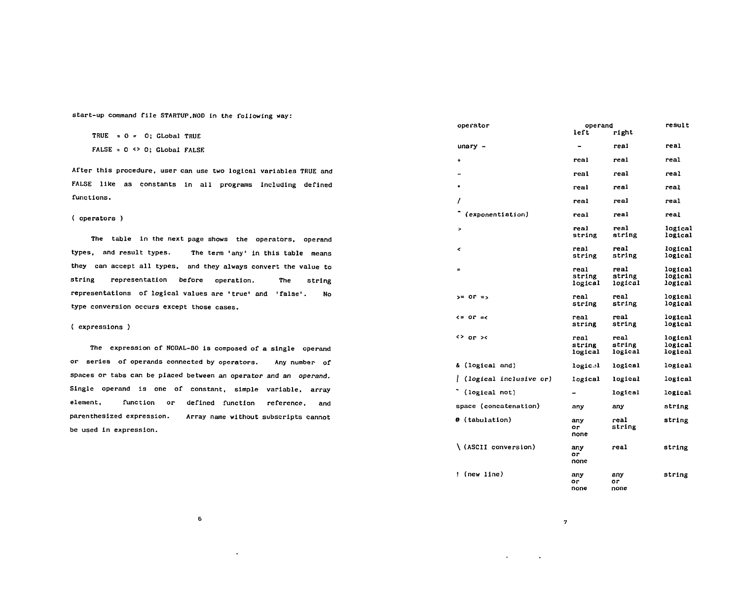**start-up command file STARTUP.NOD in the following way:**  start-up command file STARTUP.NOD 1n the fol10wing way:

 $TRUE = 0 = 0$ ; GLobal TRUE  $FALSE = 0 \Leftrightarrow 0; Global FALSE.$ 

**After this procedure, user can use two logical variables TRUE and**  After thls procedure, user can use two log1c81 varlables TRUE and **FALSE like as constants in all programs including defined**  FALSE l1ke as constants 1n al1 programs lncludlng defined **functions.**  functions.

### **( operators )**  ( operators )

**The table in the next page shows the operators, operand**  The table in the next page shows the operators, operand types, and result types. The term 'any' in this table means **they can accept all types, and they always convert the value to**  they can accept al1 types. and they always convert the value to **string representation before operation. The string**  string representatin before operat10n. The string **representations of logical values are 'true' and 'false'. No**  representat10ns of log1cal values are true' and 'false'. No **type conversion occurs except those cases.**  type conversion occurs except those cases.

### **( expressions )**  ( expressions )

**The expression of NODAL-80 is composed of a single operand**  The expression of NODAL-80 is composed of a single operand **or series of operands connected by operators. Any number of**  or ser1es of operands oonnected by operators. Any number of **spaces or tabs can be placed between an operator and an operand.**  spaces or tabs can be p1aced between an operator and an operand. **Single operand is one of constant, simple variable, array**  Single operand 1s one of constant, slmple varlable array **element, function or defined function reference, and**  element, function or def1ned functlon reference, and **parenthesized expression. Array name without subscripts cannot**  parenthes1zed expresslon. Array name w1thout subscr1pts cannot **be used in expression.**  be used 1n express10n.

**6**  6

| operator                 | operand<br>left           | right                     | result                        |
|--------------------------|---------------------------|---------------------------|-------------------------------|
| unary -                  |                           | real                      | real                          |
| $\ddot{\phantom{0}}$     | real                      | real                      | real                          |
|                          | real                      | real                      | real                          |
|                          | real                      | real                      | real                          |
| I                        | real                      | real                      | real                          |
| (exponentiation)         | real                      | real                      | real                          |
| >                        | real<br>string            | real<br>string            | logical<br>logical            |
| k,                       | real<br>string            | real<br>string            | logical<br>logical            |
| $\equiv$                 | real<br>string<br>logical | real<br>string<br>logical | logical<br>logical<br>logical |
| $> = 0r =$               | real<br>string            | real<br>string            | logical<br>logical            |
| $\zeta = 0$ r $\pi\zeta$ | real<br>string            | real<br>string            | logical<br>logical            |
| <> or ><                 | real<br>string<br>logical | real<br>string<br>logical | logical<br>logical<br>logical |
| & (logical and)          | logical                   | logical                   | logical                       |
| (logical inclusive or)   | logical                   | logical                   | logical                       |
| (logical not)            |                           | logical                   | logical                       |
| space (concatenation)    | any                       | any                       | string                        |
| @ (tabulation)           | any<br>or<br>none         | real<br>string            | string                        |
| (ASCII conversion)       | any<br>or<br>none         | real                      | string                        |
| ! (new line)             | any<br>or<br>none         | any<br>or<br>none         | string                        |

**7**  7

 $\Delta$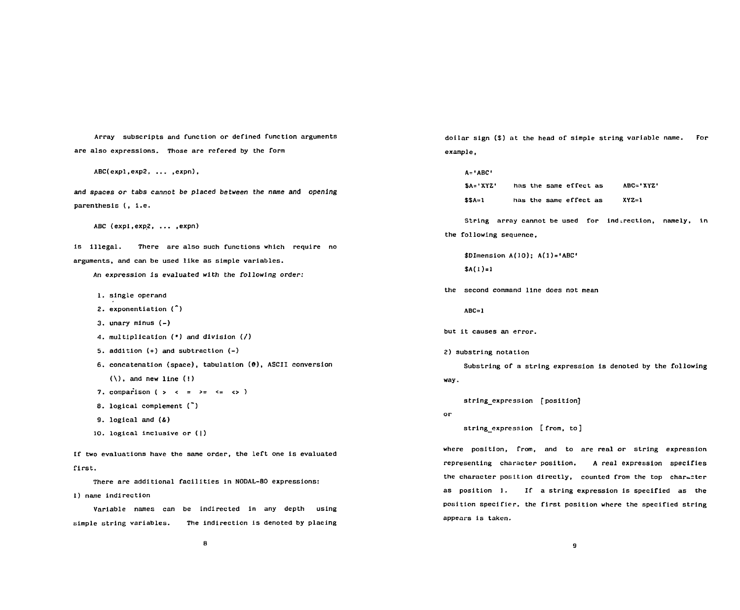**Array subscripts and function or defined function arguments**  Array subscripts and function or defined function arguments dollar sign (\$) at the head of simple string variable name. For **are als o expressions. Those are refered by the form**  are also expressions. Those are refered by the form example,

**ABC(expl,exp2, ...,expn),**  $A = 1$ **ABC** 

**and spaces** *or* **tabs cannot be** *placed between* **the name and opening**  and spaces or tabs cannot be placed between the name and openlng **parenthesis (, i.e.**  parenthesls (, 1.e.

ABC (expl,exp2, ...,expn)

**is illegal. There are also such functions which require no**  1s 111egal. There are also such functions which requlre no arguments, and can be used like as simple variables. \$DIMENSEREE REE ALL ASSERT AND A SERVIEW ASSERT AND A SERV<br>All and can be used like as simple variables.

An expression is evaluated with the following order: **\$A(l)=l** \$A(l)=l

- **1. single operand**
- **2. exponentiation (")**  exponentiation (<sup>\*</sup><br>unary minus (-)
- **3. unary minus (-)**  3. unary mlnus (ー)
- 4. multiplication (\*) and division (/)
- **5. addition (+) and subtraction (-)**  5. add1t10n (+) and subtraction (ー}
- **6. concatenation (space), tabulation (9), ASCII conversion**  6. concatenatlon (space), tabulation (@), ASCII conversion
	- $(\setminus)$ , and new line  $(!)$
- **7. comparison ( > < =** *>= <=* **<> )**  7. comparison (> < >= <= <>)
- 8. logical complement (<sup>-</sup>)
- **9. logical and (&)**  9. 1 gical and (&)
- **10. logical inclusive or (|)**

**If two evaluations have the same order, the left one is evaluated first.** 

**There are additional facilities in NODAL-80 expressions:** 

**1) name indirection** 

**Variable names can be indirected in any depth using**  Var1able names can be lndirected in any depth uslng **simple string variables. The indirection is denoted by placing**  simple string variables. The indirection 1s denotcd by placing appears 1s takcn.

**dollar sign (\$) at the head of simple string variable name. For example,** 

**A='ABC \$A='XYZ' has the same effect as ABC='XYZ'**  \$A= XYZ' nas the same errect as ABC=XYZ' **\$\$A=1 has the same effect as XYZ=1**  \$\$A=l has thc samc effect as XVZ=l

ABC (expl,exp2, ... ,expn) **String array cannot be used for ind**irection, namely, in **the following sequence,**  the following sequence.

> $$DImension A(10); A(1) = 'ABC'$ **\$A(1)=1**

**the second command line does not mean**  the second command line does not mean

**ABC=1**  ABC=l

**but it causes an error.**  but lt causes an error.

**2) substring notation**  2) substr1ng notation

**Substring of a string expression is denoted by the following**  Substring of a strlng expression i8 denoted by the fol1owing **way.**  way.

string\_expression [position]

**or**  or

**string\_expression [from, to]**  10. logical inclusive or (1) string\_expresslon [from. to]

If two evaluations have the same order, the left one is evaluated **where the section, from, and to are real** or string expression **representing character position. A real expression specifies**  first. representlng char'acter posltlon. A real expression specifies There are additional facilities in NODAL-80 expressions: the character position directly, counted from the top char⊾=ter<br>There are additional facilities in NODAL-80 expressions: **as position 1. If a string expression is specified as the**  as position 1. If a string expression is specified as the **position specifier, the first position where the specified string**  pos1tlon spec1f1cr. the first position where the specified string **appears is taken.**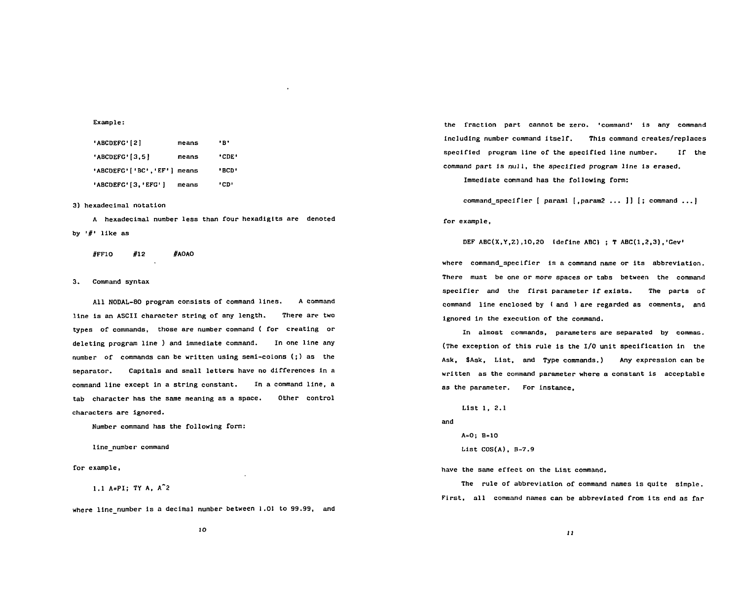**Example:**  Example:

| 'ABCDEFG'[2]               | means | ۰в۰   |
|----------------------------|-------|-------|
| 'ABCDEFG' [3,5]            | means | 'CDE' |
| 'ABCDEFG'['BC','EF'] means |       | 'BCD' |
| 'ABCDEFG' [3, 'EFG' ]      | means | ימ:י  |

**3) hexadecimal notation**  3) hexadeclmal notatlon

**A hexadecimal number less than four hexadigits are denoted**  A hexadeclmal number less than four hexadlgits are denoted **by •#' like as**  by '#' like as

**#FF10 #12 #AOAO**  #FFIO #12 #AOAO

# **3. Command syntax**  3. Command syntax

**All NODAL-80 program consists of command lines. A command**  All NODAL-80 program consists of command 11nes. A command **line is an ASCII character string of any length. There are two**  line is an ASCll character string of any length. There are tw **types of commands, those are number command ( for creating or**  types of commands, those are number command ( for creating or **deleting program line ) and immediate command. In one line any**  deleting program line ) and immediate cmmand. ln one 11ne any **number of commands can be written using semi-colons (;) as the**  number of commands can be wr1tten using semi-colons (;) as the **separator. Capitals and small letters have no differences in a**  separator. Cap1tals and small letters have no d1fferences in a **command line except in a string constant. In a command line, a**  command 11ne except 1n a str1ng c nstant. ln a command 11ne, a **tab character has the same meaning as a space. Other control**  tab character has the same mean1ng as a space. Other control **characters are Ignored.**  characters are ignored.

**Number command has the following form:**  Number command has the following form:

**line\_number command**  l1ne number command

**for example,**  for example,

1.1 A=PI; TY A, A<sup>^</sup>2

**where line\_number is a decimal number between 1.01 to 99.99, and**  where 11ne number 1s a decimal number between 1.01 to 99.99, and

the fraction part cannot be zero. 'command' is any command **Including number command itself. This command creates/replaces**  lncluding number command itself. This command creates/replaces **specified program line of the specified line number. If the**  specified program l1ne of the specified line number. If the **command part is null, the specified program line is erased.**  command part 1s null, the speclCled program l1ne 1s erased.

**Immediate command has the following form:**  lmmediate command has the following form:

**command\_specifier I paraml [,param2 ... J] I; command ...]**  command\_specifler [ par 1 [, par 2 ••• ) 1 [; command ••• 1 **for example,**  for example,

DEF ABC(X,Y,Z),10,20 {define ABC} ; T ABC(1,2,3),'Gev'

**where command\_specifier is a command name or its abbreviation.**  where command\_speclfier 1s a command name or its abbreviatl n. **There must be one or more spaces or tabs between the command**  There must be one or more spaces or tabs between the command **specifier and the first parameter if exists. The parts of**  speclfler and the flrst parameter lf ex1sts. The parts of **command line enclosed by I and ) are regarded as comments, and**  command line enclosed by I and 1 are regarded as cmments and **ignored in the execution of the command.**  19nored in the execution of the command.

**In almost commands, parameters are separated by commas.**  In almst commands, parameters are separated by commas. **(The exception of this rule is the I/O unit specification in the**  (The exception of thls rule is the 1/0 un1t speciflcat10n 1n the **Ask, SAsk, List, and Type commands.) Any expression can be**  Ask, \$Ask, List, and Type commands.) Any expression can be **written as the command parameter where a constant is acceptable**  written as the cmmandparameter where a constant 1s acceptable as the parameter. For instance,

**List 1, 2.1**  List 1, 2.1 **and**  and **A=0; B=10**  A:O; B:IO **List COS(A), B-7.9**  List COS(A), B-7.9

have the same effect on the List command.

**The rule of abbreviation of command names is quite simple.**  The rule of abbrevlation of command names 1s qu1te simple. **First, all command names can be abbreviated from its end as far**  First, all command names can be abbreviated from lts end as far

**11**  11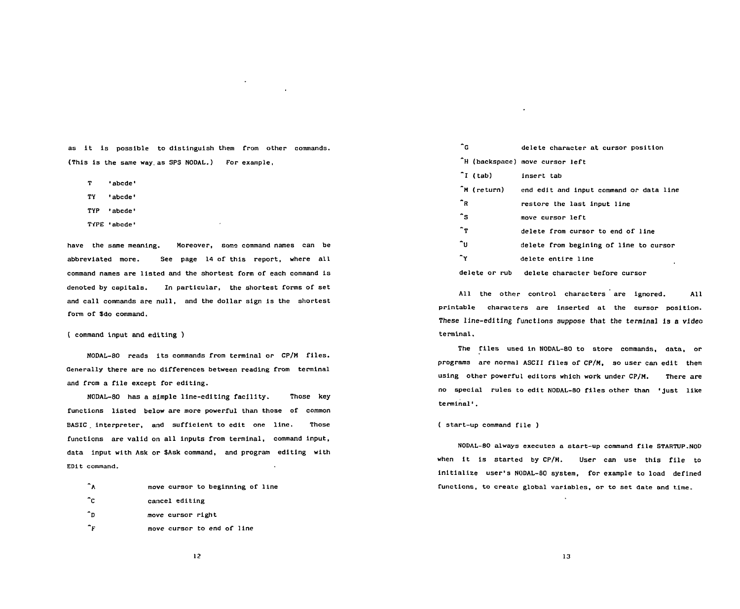$\ddot{\phantom{a}}$ 

- **T 'abcde'**  T 'abcde
- **TY •abcde'**  TY 'abcde
- **TYP 'abcde•**
- TiPE 'abcde'

abbreviated more. See page 14 of this report, where all **the seed of the seed of the seed of the seed of the see** command names are listed and the shortest form of each command is **delete on the sound delete character before cursor denoted by capitals. In particular, the shortest forms of set**  denoted by capitals. In part1cular, the shortest forms of set **and call commands are null, and the dollar sign is the shortest**  and cal1 commands are nul1, and the dollar sign 1s the shortest **form of \$do command.**  form of \$do command.

# **( command input and editing )**  ( command 1nput and editing ) term1nal.

**NODAL-80 reads its commands from terminal or CP/M files.**  NODAL-80 read5 it5 commands from terminal 01' CP/M files. **Generally there are no differences between reading from terminal and from a file except for editing.** 

**NODAL-80 has a simple line-editing facility. Those key**  nobhaboo has a simple line-culting facility. Those Ney and the second terminal than those of common **departument BASIC . interpreter, and sufficient to edit one line. Those**  BASIC interpreter, and sufficient to edit one 11ne. Those ( start-up command file ) **functions are valid on all inputs from terminal, command input,**  functions are valid on al1 inputs from terminal, command input, **data input with Ask or \$Ask command, and program editing with**  data input with Ask 01' \$Ask command, and program editing with **EDit command.**  EDit command.

|  |  |  | move cursor to beginning of line |  |  |  |
|--|--|--|----------------------------------|--|--|--|
|--|--|--|----------------------------------|--|--|--|

- **"C cancel editing**  cancel edi ting
- **\*D move cursor right**  move cursor right
- **"F move cursor to end** *or* **line**  move cursor to end of line

|     |                        | as it is possible to distinguish them from other commands.        |  |  | ີ⊂           |                    | delete character at cursor position     |
|-----|------------------------|-------------------------------------------------------------------|--|--|--------------|--------------------|-----------------------------------------|
|     |                        | (This is the same way as SPS NODAL.) For example.                 |  |  |              |                    | "H (backspace) move cursor left         |
|     |                        |                                                                   |  |  |              | $\mathbf{I}$ (tab) | insert tab                              |
| T   | 'abcde'                |                                                                   |  |  |              | M (return)         | end edit and input command or data line |
| TY. | 'abcde'                |                                                                   |  |  | ĤR.          |                    | restore the last input line             |
|     | TYP 'abcde'            |                                                                   |  |  | ີs           |                    | move cursor left                        |
|     | TYPE 'abcde'           |                                                                   |  |  | $\mathbf{r}$ |                    | delete from cursor to end of line       |
|     | have the same meaning. | Moreover, some command names can be                               |  |  | ົບ ∶         |                    | delete from begining of line to cursor  |
|     | abbreviated more.      | See page 14 of this report, where all                             |  |  | $\mathbf{r}$ |                    | delete entire line                      |
|     |                        | command names are listed and the shortest form of each command is |  |  |              | delete or rub      | delete character before cursor          |

**All the other control characters are ignored. All**  Al1 the othcr control characters are ignored. All printable characters are inserted at the cursor position. **These line-editing functions suppose that the terminal is a video**  These 1lne-editing funct10ns suppose that the term1nal 1s a videc **terminal.** 

The files used in NODAL-80 to store commands, data, or norms of the community of the community of the correct contract of the programs are normal ASCII files of CP/M, so user can edit them differences between reading from terminal programs are normal ASCII files of CP/M, so us and from a file except for editing.<br>and from a file except for editing. **no special rules to edit NODAL-80 files other than 'just like**  NODAL-80 has a simple line-editing facility. Those key no special rules to edit NODAL-BO files other than just like **terminal'.** 

### **( start-up command file )**

**NODAL-80 always executes a start-up command file STARTUP.NOD**  NODAL-80 always executes a start-up command file STARTUP.NOD **when it is started by CP/M. User can use this file to**  when it is started by CP/M. User can use this file to **initialize user's NODAL-80 system, for example to load defined**  1nit1alize user's NODAL-80 system, for example to 1ad defined **functions, to create global variables, or to set date and time.**  and the move cursor to beginning of line functions, to create global variables, or to set date and time.<br>
The functions, to create global variables, or to set date and time.<br>
The move cursor right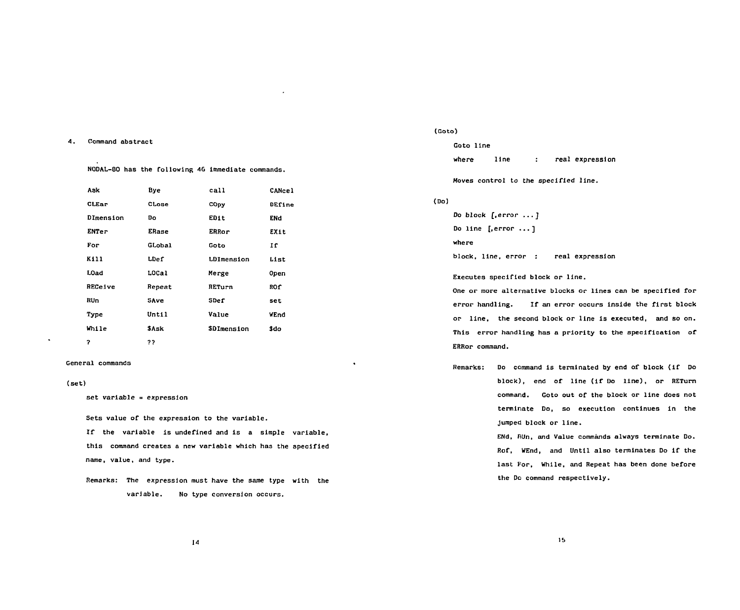### **4. Command abstract**  4. Command abstract

**NODAL-80 has the following 46 immediate commands.**  NOOAL-BO has the following 46 lmmedlate commands.

| Ask          | Bye          | call              | CANcel |
|--------------|--------------|-------------------|--------|
| CLEar        | CLose        | COpy              | DEfine |
| DImension    | Do           | EDit              | ENd    |
| <b>ENTer</b> | <b>ERase</b> | ERRor             | EXit   |
| For          | GLobal       | Goto              | Īſ     |
| K111         | LDef         | <b>LDImension</b> | List   |
| L0ad         | LOCal        | Merge             | Open   |
| RECeive      | Repeat       | RETurn            | ROf    |
| RUn          | SAve         | SDef              | set    |
| Type         | Until        | Value             | WEnd   |
| While        | \$Ask        | \$DImension       | \$do   |
| 2            | ??           |                   |        |

### **General commands**  General commands

### **(set)**  (set)

**set variable = expression**  set variable expression

**Sets value of the expression to the variable.**  Sets value of the expression to the variab1e.

**If the variable is undefined and Is a simple variable,**  If the var1ab1e 1s undefined and is a slmp1e variab1e, **this command creates a new variable which has the specified**  this command creates a new variable whlch has the specif'ied **name, value, and type.**  name, value, and type.

**Remarks: The expression must have the same type with the**  Remarks: The expresslon must have the same type wlth the variable. No type conversion occurs.

### **(Goto)**  (Goto

**Goto line**  Goto line

where line : real expression

**Moves control to the specified line.**  Moves control to the specified 1ine.

## **(Do)**  (00)

 $\bullet$ 

**Do block [.error ... ]**  Do block [, error ...] **Do line [.error .. . ]**  00 l1ne [, error .・・] **where**  where

block, line, error : real expression

Executes specified block or line.

One or more alternative blocks or lines can be specified for error handling. If an error occurs inside the first block or line, the second block or line is executed, and so on. **This error handling has a priority to the specification of**  This error handling has a priority to the speclf'icatlon of' **ERRor command.**  ERRor command.

**Remarks: Do command is terminated by end of block (if Do**  Remarks: 00 command is terminated by end of' b10ck (if 00 **block), end of line (if Do line), or RETurn**  block), end of' line (if 00 11ne), or RETurn **command. Goto out of the block or line does not**  command. Goto out of the block or line doe5 not terminate Do, so execution continues in the **Jumped block or line.**  jumped block or 11ne.

> **ENd, RUn, and Value commands always terminate Do.**  ENd, RUn, and Value commands always terminate 00. **Rof, WEnd, and Until also terminates Do if the**  Rof, WEnd, and Untl1 a180 termlnates Do lf the last For, While, and Repeat has been done before **the Do command respectively.**  the 00 command respectlvely.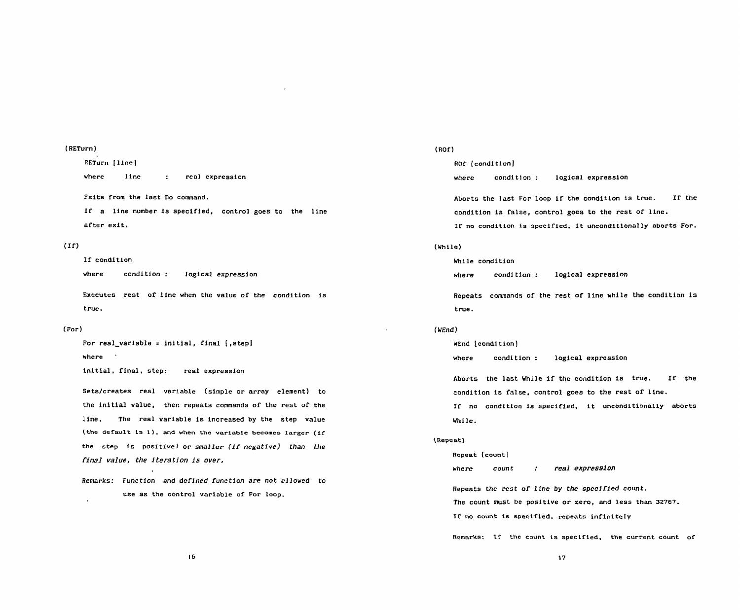### **(RETurn)**  (RETurn)

**RETurn [line]**  RETurn [line I where line : real expression **Exits from the last Do command.**  Fxlts from the last Do command. If a line number is specified, control goes to the line **after exit.**  after exlt.

# **(If)**  (H)

# **If condition**  IC condition

where condition : logical expression

Executes rest of line when the value of the condition is **true.**  true.

### **(For)**  (For)

**For real\_variable = initial, final [,step!**  For real\_variable inlt1al. f1nal l.stepJ **where**  where

**initial, final, step: real expression**  in1tial. final, step: real expresslon

**Sets/creates real variable (simple or array element) to**  Sets/creates real variable (s1mp1e or array element) to **the initial value, then repeats commands of the rest of the**  the ln1t1a1 value. then repeats commands of the rest of the **line. The real variable is increased by the step value**  l1ne. The real var1able 1s 1ncreased by the step value (the default is 1), and when the variable becomes larger (if **the step Is positive) or** *smaller (if negative) than the*  the step is positivel or smal1er (lf negative) than the *final value, the Iteration is* over. final value. the lteratlon 1s over.

Remarks: Function and *defined function are not vllowed* to Remarks: Function and defined function are not v110wed to use as the control variable of For loop.

# **(ROD**  (ROf)

**ROf (condition)**  ROf [cond1tlon J

where condition : logical expression

**Aborts the last For loop ir the condition Is true. IT the**  Aborts the last For 100p 1f the cond1tlon 1s true. If the **condition is false, control goes to the rest of line.**  condition 1s false. control goes to the rest of l1ne.

**If no condition is specified, it unconditionally aborts For.**  lf no cond1t10n is specified. lt unconditional1y aborts For.

# **(While)**  (Whi1e)

**While condition**  While cond1 t10n

where condition : logical expression

**Repeats commands of the rest of line while the condition is**  Repeats commands of the rest of l1ne whl1e the condit1n 1s **true.**  true.

# **(WEnd)**  (WEnd)

**WEnd (condition)**  WEnd [conditlon]

where **condition :** logical expression

**Aborts the last While if the condition is true. If the**  Aborts the last While 1f the cond1t1on is true. If the condition is false, control goes to the rest of line.

**If no condition is specified, it unconditionally aborts**  If no conditlon 15 5pec1f1ed, 1t unconditlonal1y aborts **While.** 

## **^Repeat)**  {Repeat

**Repeat (count!**  Repeat (countl

where count : real expression

**Repeats the rest of line by the** *specified count.*  Repeats thc rcst of 1Lne by the speclfled count. **The count must be positive or zero, and less than 32767.**  The count must be pos1t1ve or zero, and less than 32767.

**If no count is specified, repeats infinitely**  lf no count 1s speclfled, repeats infinltely

**Remarks: if the count Is specified, the current count of**  Rcmarks: lf the count is speclfied, the currertcount of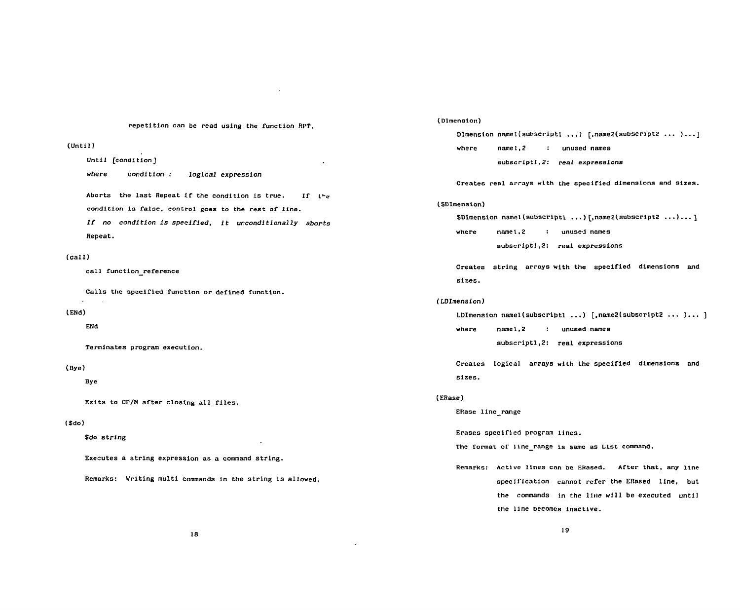**repetition can be read using the function RPT.**  repet1tion can be read us1ng the funct10n RPT.

# **(Until)**  (Untll )

**Until [condition]**  Until (condition] **where condition : logical expression**  where condition 10g1ca1 expresslon Aborts the last Repeat if the condition is true. If the **condition is false, control goes to the rest of line.**  condition is false. contr01 goes to the rest of line. *If no condition Is specified,* **it** *unconditionally aborts*  Ir no cond1t10n ls spec1r1ed. 1t uncondltlonal1y aborts **Repeat.**  Repeat.

### **(call)**  (ca11)

**call function reference**  cal1 function reference

**Calls the specified function or defined function.**  Calls the speclfied functlon or defined function.

# **(ENd)**  (ENd)

ENd

Termlnates program execution.

# (Bye)

**(Bye)**  Bye

**Bye**  Exits to CP/M after closing al1 files.

# (\$do)

**(\$do)**  \$do string

Executes a string expression as a command string<mark>.</mark>

Remarks: Writing multi commands in the string is allowed<mark>.</mark>

### **(Dimension)**  (Dlmension)

...<br>Dlmension name1(subscriptl ...) [,name2(subscript2 ... )...] **where name 1,2 : unused names**  where namel.2 unused names **subscript!***,2:* **real expressions**  subscrlptl.2: real expressions

Creates real arrays with the specified dimensions and sizes.

### **(\$Dlmension)**  (\$Dlmension)

**\$DImension namel(subscriptl ...) [,name2(subscriptz ...).. . }**  \$Dlmenston namel(subscrlttl ...) [.name2(subscrlpt2 ...)...1 **where namel,2 : unused names**  where namel 2 unused names **subscriptl,2: real expressions**  subscriptl 2: real expressions

**Creates string arrays with the specified dimensions and**  Creates str1ng arrays with the specified dlmensions and **sizes.**  sizes.

### **(LDImension)**  (LOlmension)

**LDImension namel(subscriptl ...) [,name2(subscript2 ... ).. . ]**  LDlmension n el(subscriptl ...) [,name2(subscript2 ••• )... ) **where namel,2 : unused names**  where n nel.2 unused names **subscriptl,2: real expressions**  subscriptl 2: real expresslns

**Creates logical arrays with the specified dimensions and**  Creates 10g1cal arrays wlth the speclfled dlmenslons and **sizes.**  slzes.

### **(ERase)**  (ERase)

**ERase line\_range**  ERase line range

Erases specified program lines.

The format of line\_range is same as List command.

**Remarks: Active lines can be ERased. After that, any line**  Remarks: Actlve lines cnn be ERased. After that, any line **specification cannot refer the ERased line, but**  speclfication cannot refer the ERased line, but **the commands in the line will be executed until**  the commands in the lille w111 be executed until **the line becomes inactive.**  the 11ne bccomes lnactlve.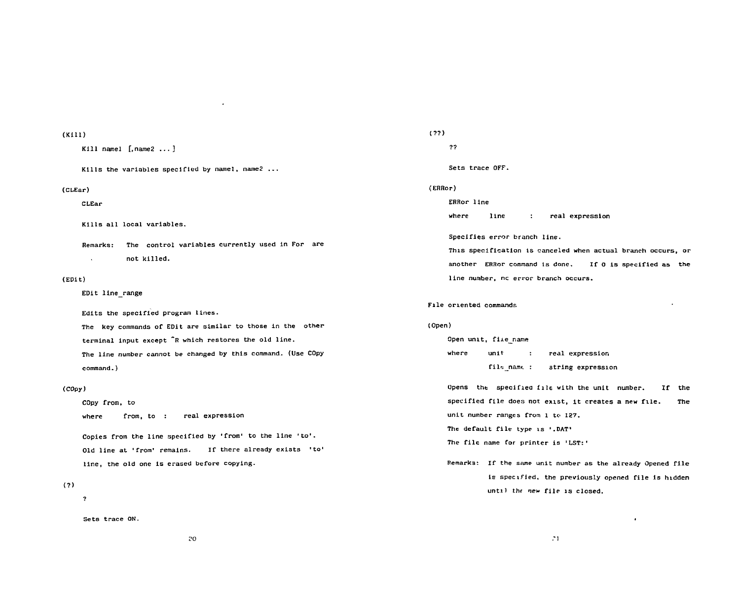# **(Kill)**  (Kill)

```
Kill namel [,name2 ...]
```
**Kills the variables specified by namel, name2 ...**  Kl11s the variables speclflcd by namel, name2 ••.

# **(CLEar)**  (CLEar)

**CLEar**  CLEar

**Kills all local variables.**  Kl11s a11 local variables.

**Remarks: The control variables currently used in For are**  Remarks: The control variables currently used in For are  $\mathbf{r}$ **not killed.**  not killed.

# **(EPit)**  (EPit)

**EDit line\_range**  EDit line range

**Edits the specified program lines.**  Ed1ts the spec1fled program lines.

**The key commands of EDit are similar to those in the other**  The key commands of EDit are similar to those in the other **terminal input except "R which restores the old line.**  terminal input except R which restores the 01d 1ine. **The line number cannot be changed by this command. (Use COpy**  The line number cannot be changed by this command. (Use COpy **command.)** 

# **(COpy)**  (COpy)

**COpy from, to**  COpy from, to where from, to : real expression

**Copies from the line specified by 'from' to the line 'to'.**  Copies from the line specified by 'from to the line 'to・. Old line at 'from' remains. **line, the old one is erased before copying.**  line, the old one 1s erased before copying. If there already exists 'to'

# **(?)**  (?)

**?** 

**Sets trace ON.**  Sets trace ON.

# **(??)**  ( ??)

**??**  ??

**Sets trace OFF.**  Sets trace OFF.

# **(ERRor)**  (ERRor)

# **ERRor line**  ERRor line

where line : real expression

**Specifies error branch line.**  Specif1es error branch line.

**This specification is canceled when actual branch occurs, or**  ThlS speclficatlon 1S canceled when actual branch occurs, or **another ERRor command is done. If O is specified as the**  another ERRor command 16 done. f0 1s spec1f1ed as the **line number, nc error branch occurs.**  line number, nc error branch occurs.

### **File oriented commands**  Flle orlented command!

### **(Open)**  (Open)

**Open unit, file name**  Open unlt, fi!e name where unit : real expression fil<sub>e</sub>\_name : string expression

Opens the specified file with the unit number. If the **specified file does not exist, it creates a new file. The**  specified fl1e does not eXlst, lt creates a new flle. The unit number ranges from 1 to 127.

**The default file type is '.DAT'**  The default file type 15 .DAT

#### **The file name for printer is 'LST:'**  The file name for printer is 'LST:

Remarks: If the same unit number as the already Opened file **is specified, the previously opened file is hidden**  15 speclfied. the previously opened file 15 hldden unti<sup>]</sup> the new file is closed.

 $\bullet$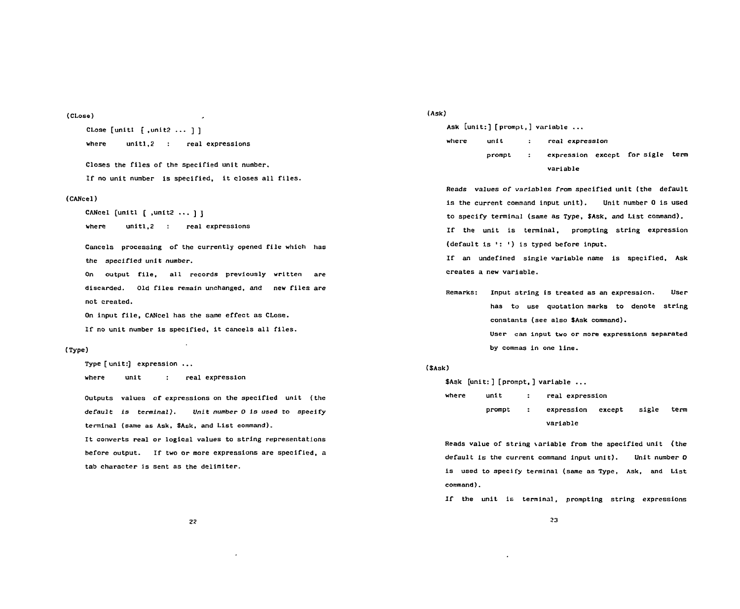**(CLose)**  (CLose)

**CLose [unitl [ ,unit2 ... ] ]**  CLose [un1tl [,unit2 ・・・ ] ] where unit1,2 : real expressions

**Closes the files of the specified unit number.**  C105e5 the f11e5 of the 5pecif1ed unlt number. **If no unit number is specified, it closes all files.**  If no un1t number 1s specifled, lt c10se5 a11 file5.

### **(CANcel)**  (CANcel)

**CANcel [unitl f ,unit2 ... J ]**  CANcel [unltl [ unlt2 ・・・ ] ] where unitl, 2 : real expressions

**Cancels processing of the currently opened file which has**  Cance15 processing of the currently opened fl1e wh1ch has **the specified unit** *number.*  the speclfled unlt number.

**On output file, all records previously written are**  On output f11e, al1 records prev10usly wrltten are **discarded. Old files remain unchanged, and new files are**  d1scarded. Old Ciles remain unchanged, and new Ciles are **not created.**  not created.

**On input file, CANcel has the same effect as CLose.**  On 1nput f11e, CANcel has the same effect as CL05e.

**If no unit number is specified, it cancels all files.**  If no un1t number Is spec1f1ed, 1t cance1s al1 fl1es.

# **(Type)**  (Type)

Type [ unit:] expression ...

where unit : real expression

**Outputs values of expressions on the specified unit (the**  Outputs values of expre5s10ns on the spec1fled unlt (the **default is terminal). Unit** *number O Is* **used to specify**  de faul t 15 terinal). Unit number 0 1s used to specify terminal (same as Ask, \$Ask, and List command).

It converts real or logical values to string representations before output. If two or more expressions are specified, a **tab character is sent as the delimiter.**  tab character 1s 5ent as the delimiter.

**(Ask)**  (Ask)

**Ask [unit:] [prompt,] variable ...**  Ask [Unlt:] [prompt,] variable ••• where unit : real expression prompt : expression except for sigle term **variable**  variable

**Reads values of variables from specified unit (the default**  Reads values of νarlables from speclfied unlt (the default **is the current command input unit). Unit number 0 is used**  15 the current command input unlt). Unlt number 0 15 u5ed to specify terminal (same as Type, \$Ask, and List command). **If the unit is terminal, prompting string expression**  If the unit 15 term1nal, promptlng 5tring expre5sion **(default is •: ') is typed before input.**  (default Is ・') 1s typed before 1nput.

**If an undefined single variable name is specified. Ask**  IC an undefined s1ngle variable name 1s specifled, Ask **creates a new variable.**  creates a new var1able.

**Remarks: Input string is treated as an expression. User**  Remarks: Input strlng 1s treated as an expression. User **has to use quotation marks to denote string**  has to use quotatlon marks to denote strlng **constants (see also SAsk command).**  constants (see also \$Ask command).

> **User can input two or more expressions separated**  User can lnput two or more expressions separated **by commas in one line.**  by commas in one l1ne.

## **(SAsk)**  (\$Ask)

**\$Ask [unit:] [prompt,] variable ...**  \$ASk [unit:] [prompt,] varlable • where unit : real expression prompt : expression except sigle term **variable**  varlable

Reads value of string variable from the specified unit (the **default is the current command input unit). Unit number O**  default 15 the current command input unit). Unit number 0 is used to specify terminal (same as Type, Ask, and List **command).**  command) .

**If the unit is terminal, prompting string expressions**  If the unit 1s terminal. prompting strlng expresslons

**2?**  2:1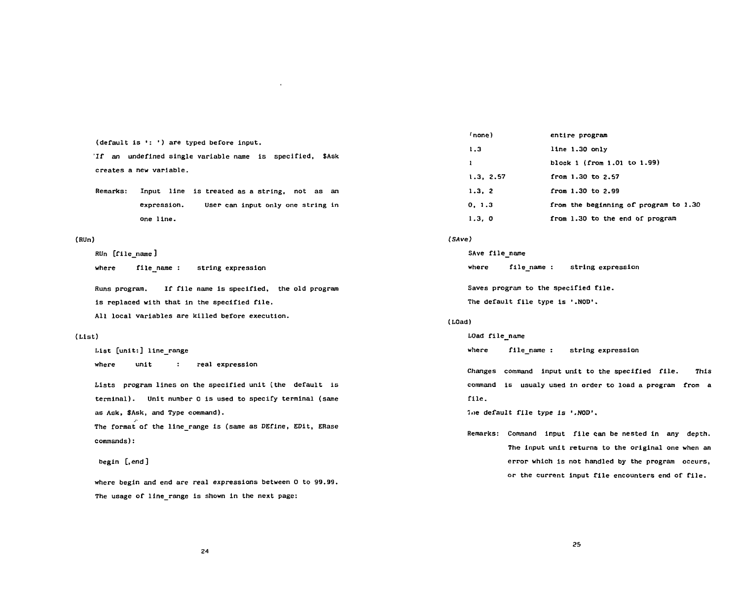(default is ': ') are typed before input.

If an undefined single variable name is specified, \$Ask **creates a new variable.**  creates a new varlable.

**Remarks: Input line is treated as a string, not as an**  Remarks: 1nput line 1s treated as a string, not as an **expression. User can input only one string in**  expresslon. User can lnput only one string in **one line.**  one 11ne.

## **(RUn)**  (RUn)

**RUn [file\_name ]**  RUn [Cile name]

**where flle\_name : string expression**  where flle\_name string expres5ion

**Runs program. If file name is specified, the old program**  Runs program. 11' 1'11e name 1s 5pecl1'led, the old program **is replaced with that in the specified file.**  is replaced w1th that 1n the specified 1'ile. All local variables are killed before execution.

### **(List)**  ( List)

**List [unit:] line\_range**  List [unit:] line\_r ge where unit : real expression

**Lists program lines on the specified unit (the default is**  Lists program lines on the spec1f1ed unit (the default 1s **terminal). Unit number 0 is used to specify terminal (same**  terminal). Unit number 0 is used to specify terminal (same **as Ask, \$Ask, and Type command).**  as Ask, \$Ask, and Type command).

**The format of the line\_range Is (same as DEfine, EDit, ERase**  ノ、 The format of the 11ne\_range 1s (same as DEflne, EDit, ERase **commands):** 

# **begin [,end]**  beg1n [, end ]

**where begin and end are real expressions between 0 to 99.99.**  where begin and end are real expressions between 0 to 99.99. **The usage of line\_range is shown in the next page:**  The usage 01' line\_range is shwnin the next page:

| (none)       | entire program                        |
|--------------|---------------------------------------|
| 1.3          | line 1.30 only                        |
| $\mathbf{r}$ | block 1 (from 1.01 to 1.99)           |
| 1.3, 2.57    | from 1.30 to 2.57                     |
| 1.3, 2       | from 1.30 to 2.99                     |
| 0, 1.3       | from the beginning of program to 1.30 |
| 1.3, 0       | from 1.30 to the end of program       |

#### **(SAve)**  (SAve)

| SAve file name |                                      |                   |
|----------------|--------------------------------------|-------------------|
| where          | file name:                           | string expression |
|                | Saves program to the specified file. |                   |
|                | The default file type is '.NOD'.     |                   |

## **(LOad)**  (LOad)

LOad file\_name where file\_name : string expression

Changes command input unit to the specified file. This **command is usualy used in order to load a program from a**  command 15 usualy used in order to load a program Crom a **file.**  file.

Ine default file type is '.NOD'.

**Remarks: Command input file can be nested in any depth.**  Remarks: Command 1nput f11e can be nested in any depth. The input unit returns to the original one when an **error which is not handled by the program occurs,**  error which is not handled by the program occurs, **or the current input file encounters end of file.**  or the current input file encounters end 01' 1'ile.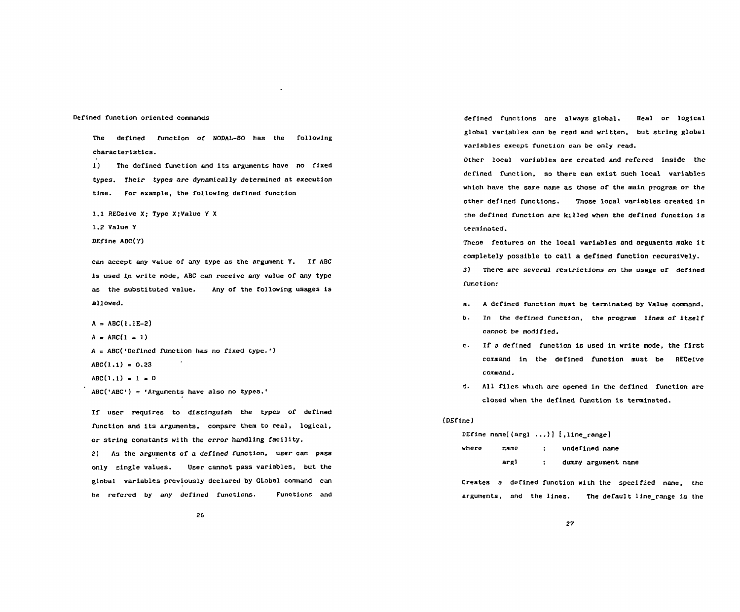## **Defined function oriented commands**  DeClned Cunctlon orlented commands

**The defined function of NODAL-80 has the following**  The deCined Cunction of NODAL-80 has the fo110wlng **characteristics.**  characterist1cs.

**1) The defined function and its arguments have no fixed**  1) The defined functlon and lts arguments have no flxed **types. Their** *types are dynamically* **determined at execution**  types. Thelr types are dynamically determined at executlon **time. For example, the following defined function**  tlme. For example. the f0110wlng deflned functlon

1.1 RECeive X; Type X;Value Y X<br>**1.2 Value Y** 

**1.2 Value Y** 

**DEfine ABC(Y)**  DEf1ne ABC(Y)

**can accept any value of any type as the argument Y. If ABC**  can accept any value of any type as the argument Y. If ABC is used in write mode, ABC can receive any value of any type **as the substituted value. Any of the following usages Is**  as the substltuted va1ue. Any of the (ollowlng usages 1s **allowed.**  allowed.

**A = ABC(l.lE-2)**  A = ABC( 1.1E-2)

 $A = ABC(1 = 1)$ 

A = ABC('Defined function has no fixed type.')

ABC(1.1) = 0.23

 $\text{ABC}(1.1) = 1 = 0$ 

**ABC('ABC') = 'Arguments have also no types.'**  ABC(ABC・・Argumentshave a1so no typea.

**If user requires to distinguish the types of defined**  If user requires to dlstlnguish the types of deflned **function and its arguments, compare them to real, logical,**  function and lts arguments. compare them to real. logical. **or string constants with the error handling facility.**  or string constants with the error handling facility.

**2) As the arguments** *of* **a defined function, user can pass**  2) As the arguments of a deflned CunctJon, user can pass **only single values. User cannot pass variables, but the**  only single values. User cannot pass variables. but the **global variables previously declared by GLobal command can**  global variables previous1y declared by GLobal command can **be refered by any defined functions. Functions and**  be refered by any defined functions. Functlons and

**defined functions are always global. Real or logical**  defined functions are always global. Real or logical **global variables can be read and written, but string global**  lobal varlables can be read and wrltten. but string global **variables execpt function can be only read.**  varlables execpt functlon can be only read.

**Other local variables are created and refered inside the**  Other local variables are created and refered inside the **defined function, so there can exist such local variables**  defined function. so there can exlst sUch local variables **which have the same name as those of the main program or the**  whlch have the same name as those of the maln program or the **other defined functions. Those local variables created in**  other deflned functions. Those local variables creatd 1n **the defined function are killed when the defined function is**  the deCined Cunct10n are killed when the def1ned functlon is **terminated.**  terminated.

**These features on the local variables and arguments make it**  These features on the local variables and arguments make lt **completely possible to call a defined function recursively.**  completely possible to call a defined function recursively.

3) There are several restrictions on the usage of defined **function:**  fur.ctlon:

- **a. A defined function must be terminated by Value command.**  a. A def1ned funct10n must be terminated by Value command.
- **b. In the defined function. the program lines of itself**  b. Jn the deC1ned Cunction. the program 11nes oC ltself cannot be modified.
- **c. If a defined function is used In write mode, the first**  c. If a def1ned funct10n 1s used 1n wrlte mode, the f1rst **command in the defined function must be RECeive**  command in the defined function must be RECeive **command.**  E白 血mand.
- d. All files which are opened in the defined function are **closed when the defined function is terminated.**  closed when the defined Cunction 1s terminated.

## **(DEfine)**  (DEftne)

DEfine name[(argl ...)] [,line\_range] where name : undefined name **argl : dummy argument name**  argl dummy argument name

**Creates a defined function with the specified name, the**  Creates a deCined function with the specified name, the **arguments, and the lines. The default line\_range is the**  argumenls, and the lines. The default 11ne\_range i5 the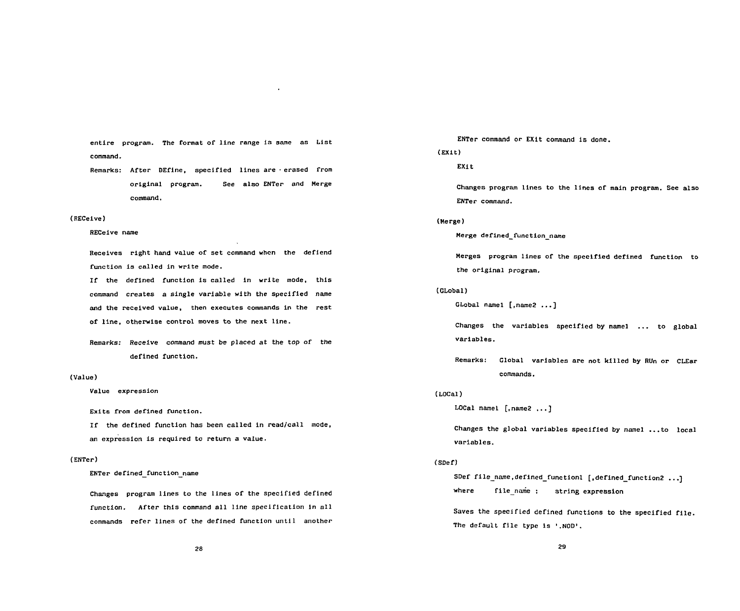entire program. The format of line range is same as List **command.**  command.

**Remarks: After DEflne, specified lines are • erased from**  Remarks: After DEfine. specif1ed 11nes are . erased from **original program. See also ENTer and Merge**  orlgina1 program. See a1so ENTer and Merge **command.**  command.

# **(RECeive)**  (RECeive)

# **RECeive name**  RECeive name

**Receives right hand value of set command when the defiend**  Receives right hand va1ue of set command whcn the defiend **function is called in write mode.**  function is called in write mode.

**If the defined function is called in write mode, this**  If the defined function is ca11ed in write mode. th1s **command creates a single variable with the specified name**  command creates a sing1e variab1e with the specified name **and the received value, then executes commands in the rest**  and the received value. then executes commands in the re5t **of line, otherwise control moves to the next line.**  of 11ne. otherw1se control moves to the next 11ne.

**Remarks: Receive command must be placed at the top of the**  Remarks: Rece1ve command must be placed at the top of the **defined function.**  defined funct1on.

# **(Value)**  (Value)

**Value expression**  Value expression

**Exits from defined function.**  Exits from defined function.

**If the defined function has been called in read/call mode,**  If the defined funct10n has been called in read/call mode. **an expression is required to return a value.**  an expression 1s required to return a va1ue.

# **(ENTer)**  (ENTer)

**ENTer defined\_function name**  ENTer def!ned function name

**Changes program lines to the lines of the specified defined**  Changes program lines to the 1ines of the specified defined **function. After this command all line specification in all**  funct1on. After th1s command a11 11ne speclflcation in a11 **commands refer lines of the defined function until another**  commands refer 1ines of the deflned function unti1 another

**ENTer command or EXit command is done.**  ENTer command or EXit command is done.

# **(EXit)**  (EXit)

**EXit**  EXit

**Changes program lines to the lines of main program. See also**  Chargesprogram 11nes to the l!nes of main program. See a150 ENTer command.

### **(Merge)**  (Merge)

**Merge defined\_function\_name**  Merge defined function name

**Merges program lines of the specified defined function to**  Merge5 program lines of the speclfled deflned function to **the original program,**  the origina1 program.

### **(Global)**  (GLobal)

GLobal name1 [,name2 ...]

Changes the variables specified by namel ... to global **variables.**  variab1es.

**Remarks: Global variables are not killed by RUn or CLEar**  Remarks: G10bal variab1es are not killed by RUn or CLEar **commands.**  commands.

### **(LOCal)**  (LOCal)

LOCal namel [,name2 ...]

**Changes the global variables specified by namel ...to local**  Changes the globa1 variab1es specified by namel ...to 10ca1 **variables.**  variab1es.

## **(SDef)**  (SDef)

SDef file\_name,defined\_functionl [,defined\_function2 ...] **where file\_name : string expression**  where fi1e\_name string expression

**Saves the specified defined functions to the specified file .**  Saves the specifled defined funct10ns to the spec1fied f11e. The default file type is '.NOD'.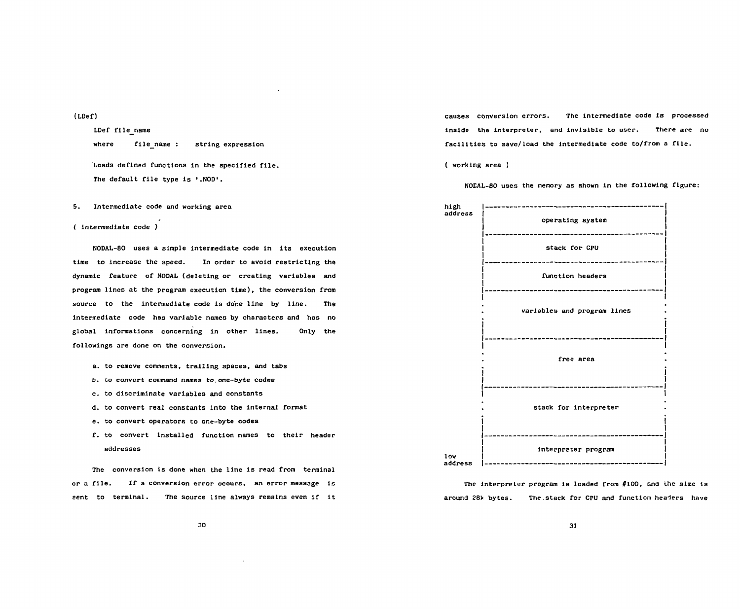**(LDef)**  (LDef)

**LDef file\_name** where file\_name : string expression

Loads defined functions in the specified file. The default file type is '.NOD'.

**5. Intermediate code and working area**  5. Intermed1ate code and work1ng area

**( intermediate code )**  ( 1ntermed1ate code )

**NODAL-80 uses a simple intermediate code in its execution**  NODAL-BO uses a s1mple 1ntermed1ate code 1n 1ts execut10n time to increase the speed. In order to avoid restricting the **dynamic feature of NODAL (deleting or creating variables and**  dynamic Ceature oC NODAL (deleting or creating variables and **program lines at the program execution time), the conversion from**  program l1nes at the program execut10n t1me). the conversion Crom **source to the intermediate code is done line by line. The**  source to the 1ntermed1ate code 1s dor.e 11ne by 11ne. The **intermediate code has variable names by characters and has no**  intermed1ate code has var1able names by characters and has no **global informations concerning in other lines. Only the**  global 1nformat1ons concern1ng 1n other lines. Only the **followings are done on the conversion.**  fol10w1ngs are done on the conversion.

- **a. to remove comments, trailing spaces, and tabs**  a. to remove comments. tral1lng spaces. and tabs
- b. to convert command names to one-byte codes
- **c. to discriminate variables and constants**  c. to discr1mlnate var1ables and constants
- **d. to convert real constants into the internal format**  d. to convert real constants into the 10ternal Cormat
- **e. to convert operators to one-byte codes**  e. to convert operators to one-byte codes
- f. to convert installed function names to their header **addresses**  addresses

**The conversion is done when the line is read from terminal**  The convers10n 1s done when the l10e 1s read from term1nal or a file. If a conversion error occurs, an error message is sent to terminal. The source line always remains even if it **causes conversion errors. The Intermediate code is processed**  causes converslon errors. The lntermedlate code 15 processed **inside the interpreter, and invisible to user. There are no**  1nslde the 1nterpreter, and 1nv1s1ble to user. There are no facilities to save/load the intermediate code to/from a file.

**( working area )**  ( working area l

**NOEAL-80 uses the memory as shown in the following figure:**  NOtAL-BO uses the memory as shown 1n the Collowlng Clgure:



The interpreter program is loaded from #100, and the size is around 28k bytes. The stack for CPU and function headers have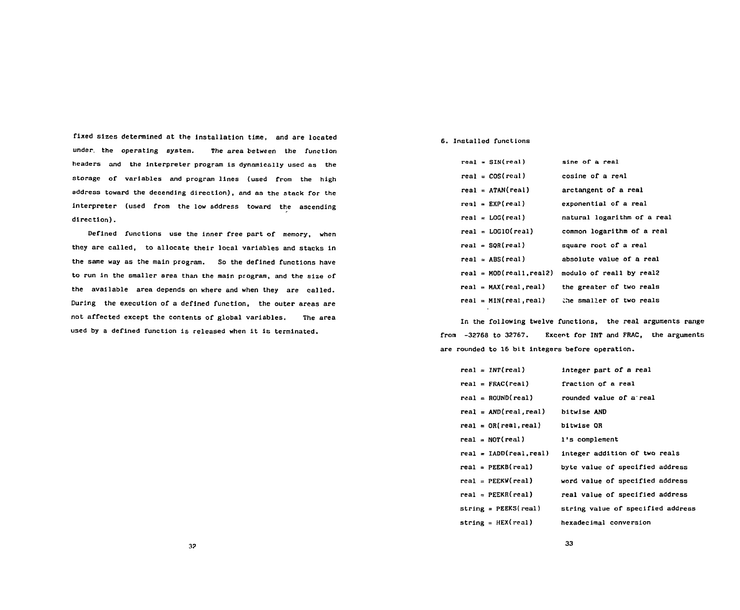**fixed sizes determined at the installation time, and are located**  fixed slzes determined at the insta11ation time, and are located **under, the operating system. The area between the function**  under. the operating Eystem. The area Tetween lhe function headers and the interpreter program is dynamically used as the **storage of variables and program lines (used from the high**  storage of variables and program lines (used from the high **address toward the decending direction), and as the stack for the**  address toward the decending direct1on). and as the stack for the **interpreter (used from the low address toward the ascending**  interpreter (used from the low address toward the ascending **direction).**  direction) •

**Defined functions use the inner free part of memory, when**  Defined funct10ns use the inner free part of memory. when **they are called, to allocate their local variables and stacks in**  they are ca11ed. to allocate their 10cal variables and stacks 1n **the same way as the main program. So the defined functions have**  the same way as the main program. So the defined functions have **to run in the smaller area than the main program, and the size of**  to run 1n the smaller area than the ma1n program. and the size of **the available area depends on where and when they are called.**  the avai1able area depends on where and when they are called. During the execution of a defined function, the outer areas are **not affected except the contents of global variables. The area**  not affected except the contents of global variables. The area **used by a defined function is released when it is terminated.**  used by a def1nedfunction 1s released when 1t 15 terminated.

# **6. Installed functions**  6. lnstalled functlons

| $real = SIN(real)$         | sine of a real              |
|----------------------------|-----------------------------|
| $real = COS(real)$         | cosine of a real            |
| $real = ATM(real)$         | arctangent of a real        |
| $real = EXP-real)$         | exponential of a real       |
| $real = LOG(real)$         | natural logarithm of a real |
| $real = LOG10(real)$       | common logarithm of a real  |
| $real = SOR-real$          | square root of a real       |
| $real = ABS-real)$         | absolute value of a real    |
| $real = MOD(real1, real2)$ | modulo of reall by real?    |
| $real = MAX(real, real)$   | the greater of two reals    |
| $real = MIN(real, real)$   | the smaller of two reals    |

**In the following twelve functions, the real arguments range**  ln the followlng twelve functlons. the rea1 arguments range **from -32768 to 32767. Excent for INT and FRAC, the arguments**  from -32768 to 32767. Excent for INT and FRAC. the arguments **are rounded to 16 bit integers before operation.**  are rounded to 16 bit integers before operation.

| $real = INT(real)$        | integer part of a real            |
|---------------------------|-----------------------------------|
| $real = FRAC(real)$       | fraction of a real                |
| $real = ROUND(real)$      | rounded value of a real           |
| $real = AND(real, real)$  | bitwise AND                       |
| $real = OR(real, real)$   | bitwise OR                        |
| $real = NOT(real)$        | 1's complement                    |
| $real = IADD(real, real)$ | integer addition of two reals     |
| $real = PEEKB(real)$      | byte value of specified address   |
| $real = PERW(real)$       | word value of specified address   |
| $real = PEEKR (real)$     | real value of specified address   |
| $string = PEEKS(real)$    | string value of specified address |
| string = $HEX$ (real)     | hexadecimal conversion            |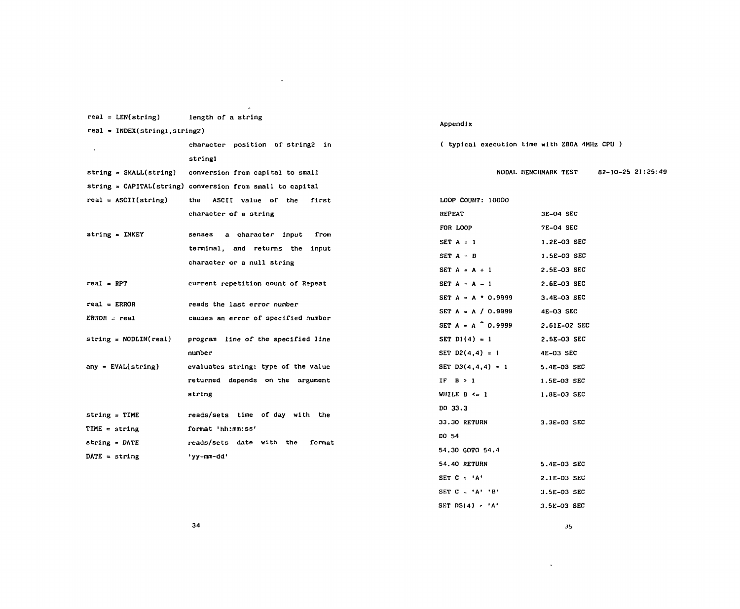| $real = LEN(string)$             | length of a string                                          |                                               |                      |                   |  |  |
|----------------------------------|-------------------------------------------------------------|-----------------------------------------------|----------------------|-------------------|--|--|
| $real = INDEX(String1, string2)$ |                                                             | Appendix                                      |                      |                   |  |  |
| $\bullet$                        | character position of string2 in                            | ( typical execution time with Z80A 4MHz CPU ) |                      |                   |  |  |
|                                  | stringl                                                     |                                               |                      |                   |  |  |
| $string = SMALL(String)$         | conversion from capital to small                            |                                               | NODAL BENCHMARK TEST | 82-10-25 21:25:49 |  |  |
|                                  | string = $CAPITAL(suring)$ conversion from small to capital |                                               |                      |                   |  |  |
| $real = ASCII(string)$           | the ASCII value of the first                                | LOOP COUNT: 10000                             |                      |                   |  |  |
|                                  | character of a string                                       | <b>REPEAT</b>                                 | 3E-04 SEC            |                   |  |  |
| $string = INKEY$                 | a character input<br>from<br>senses                         | FOR LOOP                                      | 7E-04 SEC            |                   |  |  |
|                                  | terminal, and returns the input                             | $SET A = 1$                                   | 1.2E-03 SEC          |                   |  |  |
|                                  | character or a null string                                  | $SET A = B$                                   | 1.5E-03 SEC          |                   |  |  |
|                                  |                                                             | $SET A = A + 1$                               | 2.5E-03 SEC          |                   |  |  |
| $real = RPT$                     | current repetition count of Repeat                          | SET $A = A - 1$                               | 2.6E-03 SEC          |                   |  |  |
| $real = ERROR$                   | reads the last error number                                 | $SET A = A + 0.9999$                          | $3.4E-03$ SEC        |                   |  |  |
| $ERROR = real$                   | causes an error of specified number                         | SET A = A / 0.9999                            | 4E-03 SEC            |                   |  |  |
|                                  |                                                             | SET $A = A^{\circ} 0.9999$                    | 2.61E-02 SEC         |                   |  |  |
| $string = MODLIN(real)$          | program line of the specified line                          | SET $D1(4) = 1$                               | 2.5E-03 SEC          |                   |  |  |
|                                  | number                                                      | SET D2(4,4) = 1                               | 4E-03 SEC            |                   |  |  |
| $any = EVAL(string)$             | evaluates string; type of the value                         | SET $D3(4,4,4) = 1$                           | 5.4E-03 SEC          |                   |  |  |
|                                  | returned depends on the argument                            | IF $B > 1$                                    | 1.5E-03 SEC          |                   |  |  |
|                                  | string                                                      | WHILE $B \leq 1$                              | 1.8E-03 SEC          |                   |  |  |
| $string = TIME$                  | reads/sets time of day with the                             | DO 33.3                                       |                      |                   |  |  |
| $TIME = string$                  | format 'hh:mm:ss'                                           | 33.30 RETURN                                  | 3.3E-03 SEC          |                   |  |  |
| string = $\texttt{DATE}$         | reads/sets date with the<br>format                          | DO 54                                         |                      |                   |  |  |
| DATE = string                    | 'yy-mm-dd'                                                  | 54.30 GOTO 54.4                               |                      |                   |  |  |
|                                  |                                                             | 54.40 RETURN                                  | 5.4E-03 SEC          |                   |  |  |
|                                  |                                                             | SET $C = 'A'$                                 | 2.1E-03 SEC          |                   |  |  |
|                                  |                                                             | SET $C = 'A' 'B'$                             | 3.5E-03 SEC          |                   |  |  |
|                                  |                                                             | SET $DS(4) = 'A'$                             | 3.5E-03 SEC          |                   |  |  |

 $\mathcal{L}(\mathcal{L}(\mathcal{L}(\mathcal{L}(\mathcal{L}(\mathcal{L}(\mathcal{L}(\mathcal{L}(\mathcal{L}(\mathcal{L}(\mathcal{L}(\mathcal{L}(\mathcal{L}(\mathcal{L}(\mathcal{L}(\mathcal{L}(\mathcal{L}(\mathcal{L}(\mathcal{L}(\mathcal{L}(\mathcal{L}(\mathcal{L}(\mathcal{L}(\mathcal{L}(\mathcal{L}(\mathcal{L}(\mathcal{L}(\mathcal{L}(\mathcal{L}(\mathcal{L}(\mathcal{L}(\mathcal{L}(\mathcal{L}(\mathcal{L}(\mathcal{L}(\mathcal{L}(\mathcal{$ 

35 **.** 

 $\mathcal{L}^{\mathcal{L}}(\mathcal{L}^{\mathcal{L}}(\mathcal{L}^{\mathcal{L}}(\mathcal{L}^{\mathcal{L}}(\mathcal{L}^{\mathcal{L}}(\mathcal{L}^{\mathcal{L}}(\mathcal{L}^{\mathcal{L}}(\mathcal{L}^{\mathcal{L}}(\mathcal{L}^{\mathcal{L}}(\mathcal{L}^{\mathcal{L}}(\mathcal{L}^{\mathcal{L}}(\mathcal{L}^{\mathcal{L}}(\mathcal{L}^{\mathcal{L}}(\mathcal{L}^{\mathcal{L}}(\mathcal{L}^{\mathcal{L}}(\mathcal{L}^{\mathcal{L}}(\mathcal{L}^{\mathcal{L$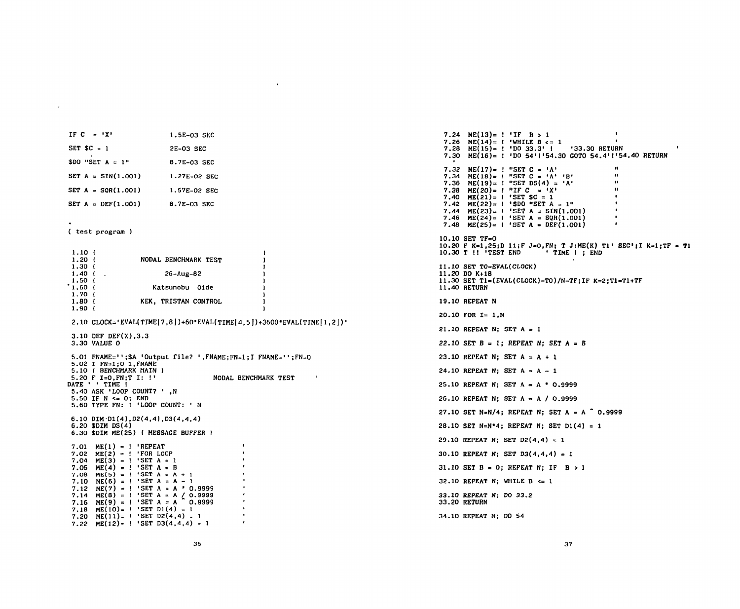**SET A = DEF(1.001) 8.7E-03 SEC**  8.7E-03 SEC **( test program )**  ( test program ) **1.10 { 1.20 (**  1.10 ( 1.20 ( 1.30 { **NODAL BENCHMARK TEST**  NOOAL BENCHMARK TEST **1.30 (**   $\mathbf{r}$ **1.40 {**  1.40 ( **26-Aug-82**  26-Aug-82 **1.50 {**  1.50 I **1.60 <**  '1.60 I 1.70 ( **Katsunobu Olde**  Katsunobu 01de **1.70 { KEK, TRISTAN CONTROL**  KEK, TRISTAN CONTROL 19.10 REPEAT N **1.80 {**  1.80 ( **1.90 {**  1.90 ( **2.10 CLOCK='EVAL(TIME|7,8])+60"EVAL(TIME[4>5l)+3600'EVAL(TIME|l,2])'**  2.10 CLOCK='EVAL(TIME[7 6))+60 EVAL(TIME[4 5))+3600 EVAL(TIME[1 2)) **3.10 DEF DEF(X),3.3**  3.10 OEF OEF(X) 3.3 **3.30 VALUE 0**  3.30 VALUE 0 **5.01 FNAME=";\$A 'Output file? ,FNAME;FN=1;I FNAME=";FN=0**  5.01 FNAME=' ;\$A Output file? ・, FNAME;FN=1;I FNAME=・, ;FN=O **5.02 I FN=1;0 l.FNAME**  5.02 1 FN=1;0 1 FNAME **5.10 { BENCHMARK MAIN )**  5.10 I BENCHMARK HAIN } **5.20 F I=0,FN;T I: !•**  5.20 F I=O FN;T 1: **NODAL BENCHMARK TEST**  NOOAL BENCHMARK TEST  $\blacksquare$ DATE ' ' TIME ! ATE ' ' TIME !<br>5<mark>.40 ASK 'LOOP COUNT? ' ,</mark>N **5.50 IF N <= 0; END 5.60 TYPE FN: ! 'LOOP COUNT: • N**  5.50 IF N <= 0; ENO 5.60 TYPE FN: LOOPCOUNT: N **6.10 DIMDl(4)tD2(4,4),D3(4,4,4)**  6.10 DIM'01(4) 02(4 4) 03(4 4 4) **6.20 \$DIM DS(4)**  6.20 \$OIM OS(4) **6.30 \$DIM ME(25) < MESSAGE BUFFER )**  6.30 \$OIM ME(25) { MESSAGE BUFFER } **7.01 ME(1) = 'REPEAT**  ME(1) = I REPEAT 7.01 **7.02 ME(2) = •FOR LOOP**  ME(2) FOR LOOP 7.02  $7.04 \text{ ME}(3) = ! \text{ 'SET A = 1}$  $7.06$  ME(4) =  $!$  SET A = B  $7.08$  ME(5) = **!** SET A = A + 1 **7.10 ME(6) =**  7.10  $ME(6) = ! 'SET A = A - 1$ **7.12 ME(7) =**  7.12  $ME(7) = ! 'SET A = A ' 0.9999$ 7.14 **7.14 7.16 ME(8) = ME(9) = •SET A = A / 0 •SET A = A " 0 9999 ' 9999**   $E(8) = !$  SET A = A / 0.9999 7.16 ME(9) = ! 'SET A = A  $^{\circ}$  0.9999 **7.18 ME(10)= •SET Dl(4) = 1**  7.18 **7.18 ME(10)= ! SET D1(4) = 1<br>7.20 ME(11)= ! SET D2(4,4) = 1**  $7.22 \quad \text{ME}(12) = 1 \quad \text{'SET} \quad \text{D3}(4,4,4) = 1$ 

**2E-03 SEC**  2E-03 SEC **8.7E-03 SEC 1.27E-02 SEC**  1.27E-02 SEC **1.57E-02 SEC**  1.57E-02 SEC

IF  $C = \{X\}$  $SET$   $SC = 1$ 

 $\tilde{\phantom{a}}$ 

**SET A = SIN(1.001)** SET **A** = SQR(1.001)

 $$DO "SET A = 1" \t\t\t 8.7E-03 SEC$ 

**IF C** =  $'X'$  1.5E-03 SEC

**.24 ME(13)= ! 'IF B > 1 .26 ME(14)= •WHILE B <= 1 '**  1 •• .26 ME(14)= **I 'WHILE B <= 1**<br>.28 ME(15)= ! 'DO 3<mark>3.3' ! '33.30 RETURN</mark> .28 ME(15)= **!** 'DO 33.3' ! '33.30 RETURN<br>.30 ME(16)= ! 'DO 54'!'54.30 GOTO 54.4'!'54.40 RETURN<br>.32 ME(17)= ! "SET C = 'A' **.32 ME(17)= ! "SET C = 'A'** .32 ME(17)= **! "SET C = 'A'**<br>
.34 ME(18)= ! "SET C = 'A' 'B' **" .36 ME(19)= "SET DS(4) = 'A' "**  ME(19)= ! "SET OS(4) A' **.38** ME(20)= **!** "IF C = 'X' **WE .40 ME(21)= 'SET \$C = 1 •**  (21)= 1 SET \$C 1 **.42 ME(22)= ! '\$DO "SET A = 1" .44 ME(23)= 'SET A = SIN(l.OOl) '**  ME(23)= I 'SET A = SIN(1.001) **.46**  $ME(24) = 1$  'SET A = SQR(1.001) • **.48** ME(25)= **!** 'SET A = DEF(1.001)  $\blacksquare$ **10.10 SET TF=0**  10.10 SET TF=O **10.20 F K=1,25;D 11;F J=0,FN; T J:ME(K) Tl' SEC'jI K=1;TF Tl**  10.20 F K=1 25:0 11:F J=O FN; T J:ME(K) T1 SEC';I Ka1;TF = T1 **10.30 T !! 'TEST END • TIME I ; END**  10.30T 11 TEST ENO TIME 1 ENO **11.10 SET TO=EVAL(CLOCK)**  11.10 SET TO=EVAL(CLOCK) **11.20 DO K+18**  11.20 00 K+18 **11.30 SET T1=(EVAL(CL0CK)-T0)/N-TF;IF K=2;T1=T1+TF**  11.30 SET T1=(EVAL(CLOCK) TO)/N-TF;IFK=2;Tl=T1+TF **11.40 RETURN**  11.40 RETURN **19.10 REPEAT N 20.10 FOR 1= 1,N**  20.10 FOR 1= 1 N **21.10 REPEAT N; SET A = 1**  21.10 REPEAT N: SET A *22.10 SET B* **= 1; REPEAT N; SET A = B**  22.10 SET B = 1: REPEAT N: SET A = B **23.10 REPEAT N; SET A = A + 1**  23.10 REPEAT Nj SET A = A + 1 **24.10 REPEAT N; SET A =. A - 1**  24.10 REPEAT N: SET A = A - 1  $25.10$  REPEAT N; SET  $A = A * 0.9999$ **26.10 REPEAT N; SET A = A / 0.9999**  26.10 REPEAT N; SET A = A / 0.9999 27.10 SET N=N/4; REPEAT N; SET A = A <sup>-</sup> 0.9999 28.10 SET N=N\*4; REPEAT N; SET D1(4) = 1 **29.10 REPEAT N; SET D2(4,4) = 1**  29.10 REPEAT N: SET 02(4 4) = 1 **30.10 REPEAT Nj SET D3(4,4,4) = 1**  30.10 REPEAT N: SET 03(4 4 4) 1 **31.10 SET B = 0; REPEAT N; IF B > 1 32.10 REPEAT N; WHILE B <= 1**  32.10 REPEAT Nj WHILE B <= 1 **33.10 REPEAT N; DO 33.2**  33.10 REPEAT N; 00 33.2 **33.20 RETURN**  33.20 RETURN **34.10 REPEAT N; DO 54**  34.10 REPEAT Nj 00 54 --ロ oq M申・- |<br>|<br>| nupu<br>M 'uquRd rUHnuhv (14)<br>(15)<br>(16)<br>(15) zw<br>DDD<br>U de0 pup HE<br>HE<br>ME auaua<br>「『『『『『』<br>『『『『』 q'hζqudquqMdn句必句凋句凋『